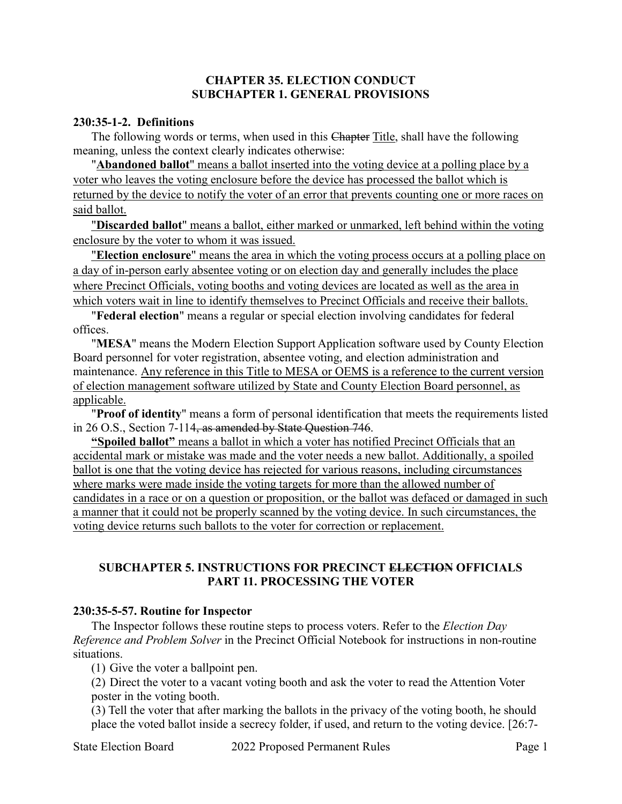## **CHAPTER 35. ELECTION CONDUCT SUBCHAPTER 1. GENERAL PROVISIONS**

#### **230:35-1-2. Definitions**

The following words or terms, when used in this Chapter Title, shall have the following meaning, unless the context clearly indicates otherwise:

"**Abandoned ballot**" means a ballot inserted into the voting device at a polling place by a voter who leaves the voting enclosure before the device has processed the ballot which is returned by the device to notify the voter of an error that prevents counting one or more races on said ballot.

"**Discarded ballot**" means a ballot, either marked or unmarked, left behind within the voting enclosure by the voter to whom it was issued.

"**Election enclosure**" means the area in which the voting process occurs at a polling place on a day of in-person early absentee voting or on election day and generally includes the place where Precinct Officials, voting booths and voting devices are located as well as the area in which voters wait in line to identify themselves to Precinct Officials and receive their ballots.

"**Federal election**" means a regular or special election involving candidates for federal offices.

"**MESA**" means the Modern Election Support Application software used by County Election Board personnel for voter registration, absentee voting, and election administration and maintenance. Any reference in this Title to MESA or OEMS is a reference to the current version of election management software utilized by State and County Election Board personnel, as applicable.

"**Proof of identity**" means a form of personal identification that meets the requirements listed in 26 O.S., Section 7-114, as amended by State Question 746.

**"Spoiled ballot"** means a ballot in which a voter has notified Precinct Officials that an accidental mark or mistake was made and the voter needs a new ballot. Additionally, a spoiled ballot is one that the voting device has rejected for various reasons, including circumstances where marks were made inside the voting targets for more than the allowed number of candidates in a race or on a question or proposition, or the ballot was defaced or damaged in such a manner that it could not be properly scanned by the voting device. In such circumstances, the voting device returns such ballots to the voter for correction or replacement.

## **SUBCHAPTER 5. INSTRUCTIONS FOR PRECINCT ELECTION OFFICIALS PART 11. PROCESSING THE VOTER**

#### **230:35-5-57. Routine for Inspector**

The Inspector follows these routine steps to process voters. Refer to the *Election Day Reference and Problem Solver* in the Precinct Official Notebook for instructions in non-routine situations.

(1) Give the voter a ballpoint pen.

(2) Direct the voter to a vacant voting booth and ask the voter to read the Attention Voter poster in the voting booth.

(3) Tell the voter that after marking the ballots in the privacy of the voting booth, he should place the voted ballot inside a secrecy folder, if used, and return to the voting device. [26:7-

State Election Board 2022 Proposed Permanent Rules Page 1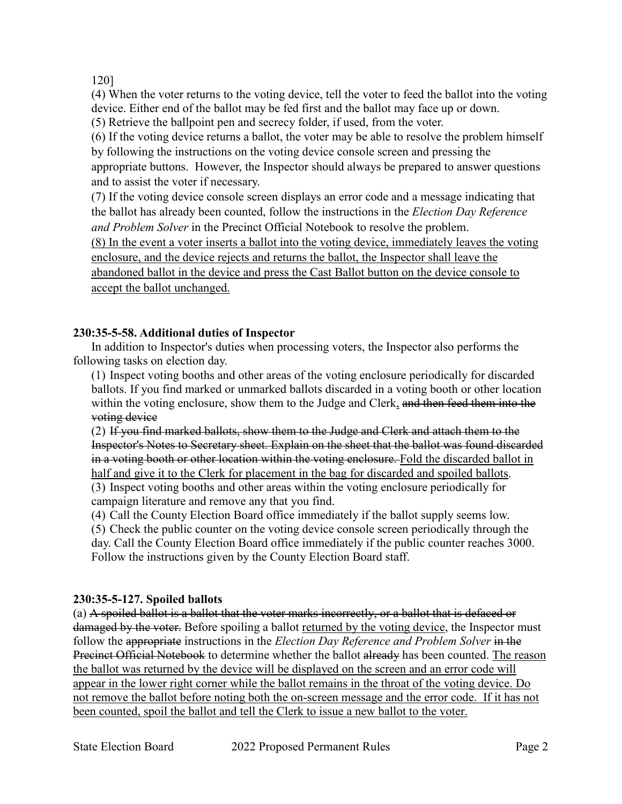120]

(4) When the voter returns to the voting device, tell the voter to feed the ballot into the voting device. Either end of the ballot may be fed first and the ballot may face up or down.

(5) Retrieve the ballpoint pen and secrecy folder, if used, from the voter.

(6) If the voting device returns a ballot, the voter may be able to resolve the problem himself by following the instructions on the voting device console screen and pressing the appropriate buttons. However, the Inspector should always be prepared to answer questions and to assist the voter if necessary.

(7) If the voting device console screen displays an error code and a message indicating that the ballot has already been counted, follow the instructions in the *Election Day Reference and Problem Solver* in the Precinct Official Notebook to resolve the problem.

(8) In the event a voter inserts a ballot into the voting device, immediately leaves the voting enclosure, and the device rejects and returns the ballot, the Inspector shall leave the abandoned ballot in the device and press the Cast Ballot button on the device console to accept the ballot unchanged.

# **230:35-5-58. Additional duties of Inspector**

In addition to Inspector's duties when processing voters, the Inspector also performs the following tasks on election day.

(1) Inspect voting booths and other areas of the voting enclosure periodically for discarded ballots. If you find marked or unmarked ballots discarded in a voting booth or other location within the voting enclosure, show them to the Judge and Clerk, and then feed them into the voting device

(2) If you find marked ballots, show them to the Judge and Clerk and attach them to the Inspector's Notes to Secretary sheet. Explain on the sheet that the ballot was found discarded in a voting booth or other location within the voting enclosure. Fold the discarded ballot in half and give it to the Clerk for placement in the bag for discarded and spoiled ballots. (3) Inspect voting booths and other areas within the voting enclosure periodically for campaign literature and remove any that you find.

(4) Call the County Election Board office immediately if the ballot supply seems low.

(5) Check the public counter on the voting device console screen periodically through the day. Call the County Election Board office immediately if the public counter reaches 3000. Follow the instructions given by the County Election Board staff.

## **230:35-5-127. Spoiled ballots**

(a) A spoiled ballot is a ballot that the voter marks incorrectly, or a ballot that is defaced or damaged by the voter. Before spoiling a ballot returned by the voting device, the Inspector must follow the appropriate instructions in the *Election Day Reference and Problem Solver* in the Precinct Official Notebook to determine whether the ballot already has been counted. The reason the ballot was returned by the device will be displayed on the screen and an error code will appear in the lower right corner while the ballot remains in the throat of the voting device. Do not remove the ballot before noting both the on-screen message and the error code. If it has not been counted, spoil the ballot and tell the Clerk to issue a new ballot to the voter.